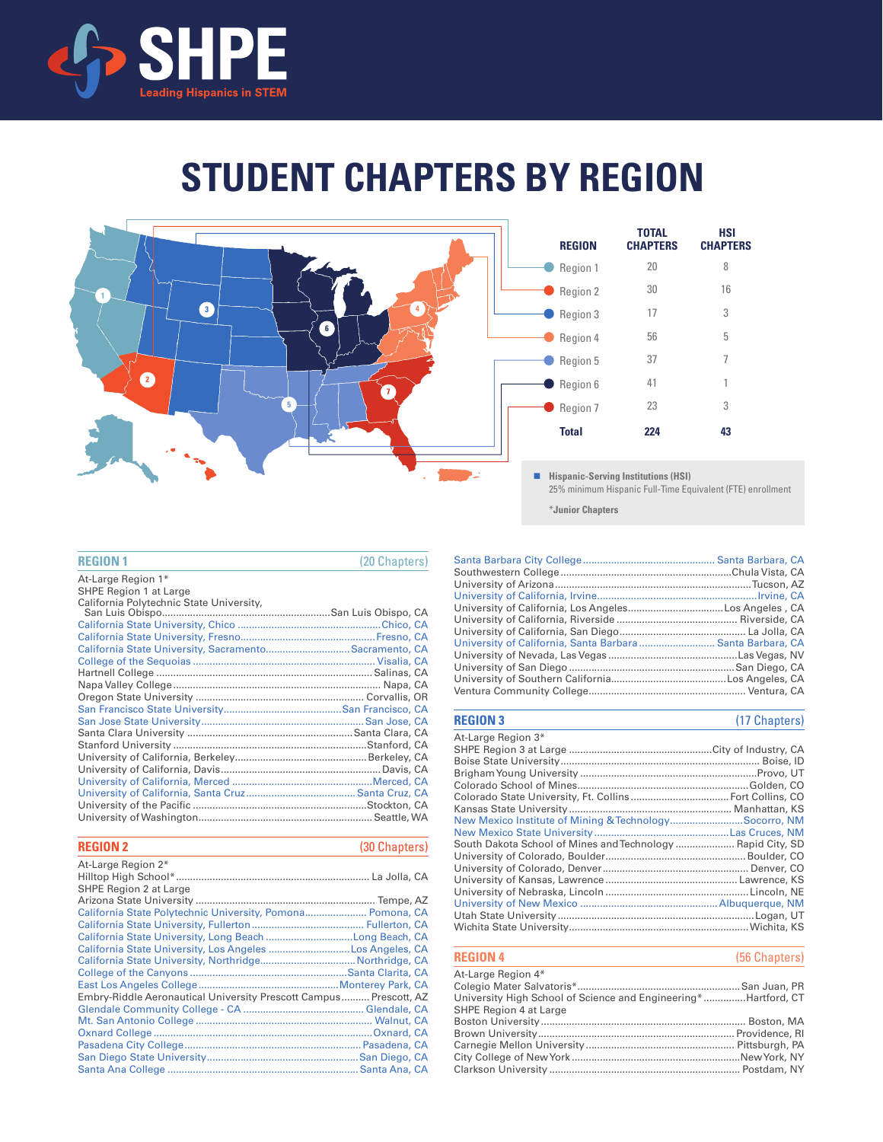

# **STUDENT CHAPTERS BY REGION**



#### **REGION 1**

At-Large Region 1\*

| (20 Chapters |  |  |
|--------------|--|--|

| SHPE Region 1 at Large                                |  |
|-------------------------------------------------------|--|
|                                                       |  |
|                                                       |  |
|                                                       |  |
|                                                       |  |
| California State University, SacramentoSacramento, CA |  |
|                                                       |  |
|                                                       |  |
|                                                       |  |
|                                                       |  |
|                                                       |  |
|                                                       |  |
|                                                       |  |
|                                                       |  |
|                                                       |  |
|                                                       |  |
|                                                       |  |
|                                                       |  |
|                                                       |  |
|                                                       |  |
|                                                       |  |

| <b>REGION 2</b> |  |  | (30 Chapters)       |  |
|-----------------|--|--|---------------------|--|
| .               |  |  | $\sim$ $\mathbf{v}$ |  |

| At-Large Region 2*                                                |  |
|-------------------------------------------------------------------|--|
|                                                                   |  |
| SHPE Region 2 at Large                                            |  |
|                                                                   |  |
| California State Polytechnic University, Pomona Pomona, CA        |  |
|                                                                   |  |
| California State University, Long Beach Long Beach, CA            |  |
| California State University, Los Angeles Los Angeles, CA          |  |
|                                                                   |  |
|                                                                   |  |
|                                                                   |  |
| Embry-Riddle Aeronautical University Prescott Campus Prescott, AZ |  |
|                                                                   |  |
|                                                                   |  |
|                                                                   |  |
|                                                                   |  |
|                                                                   |  |
|                                                                   |  |

| University of California, Santa Barbara Santa Barbara, CA |  |
|-----------------------------------------------------------|--|
|                                                           |  |
|                                                           |  |
|                                                           |  |
|                                                           |  |
|                                                           |  |

#### **REGION 3** (17 Chapters)

| At-Large Region 3*                                          |  |
|-------------------------------------------------------------|--|
|                                                             |  |
|                                                             |  |
|                                                             |  |
|                                                             |  |
|                                                             |  |
|                                                             |  |
| New Mexico Institute of Mining & TechnologySocorro, NM      |  |
|                                                             |  |
| South Dakota School of Mines and Technology  Rapid City, SD |  |
|                                                             |  |
|                                                             |  |
|                                                             |  |
|                                                             |  |
|                                                             |  |
|                                                             |  |
|                                                             |  |

| <b>REGION 4</b>                                                | (56 Chapters) |
|----------------------------------------------------------------|---------------|
| At-Large Region 4*                                             |               |
|                                                                |               |
| University High School of Science and Engineering*Hartford, CT |               |

| SHPE Region 4 at Large |  |
|------------------------|--|
|                        |  |
|                        |  |
|                        |  |
|                        |  |
|                        |  |
|                        |  |